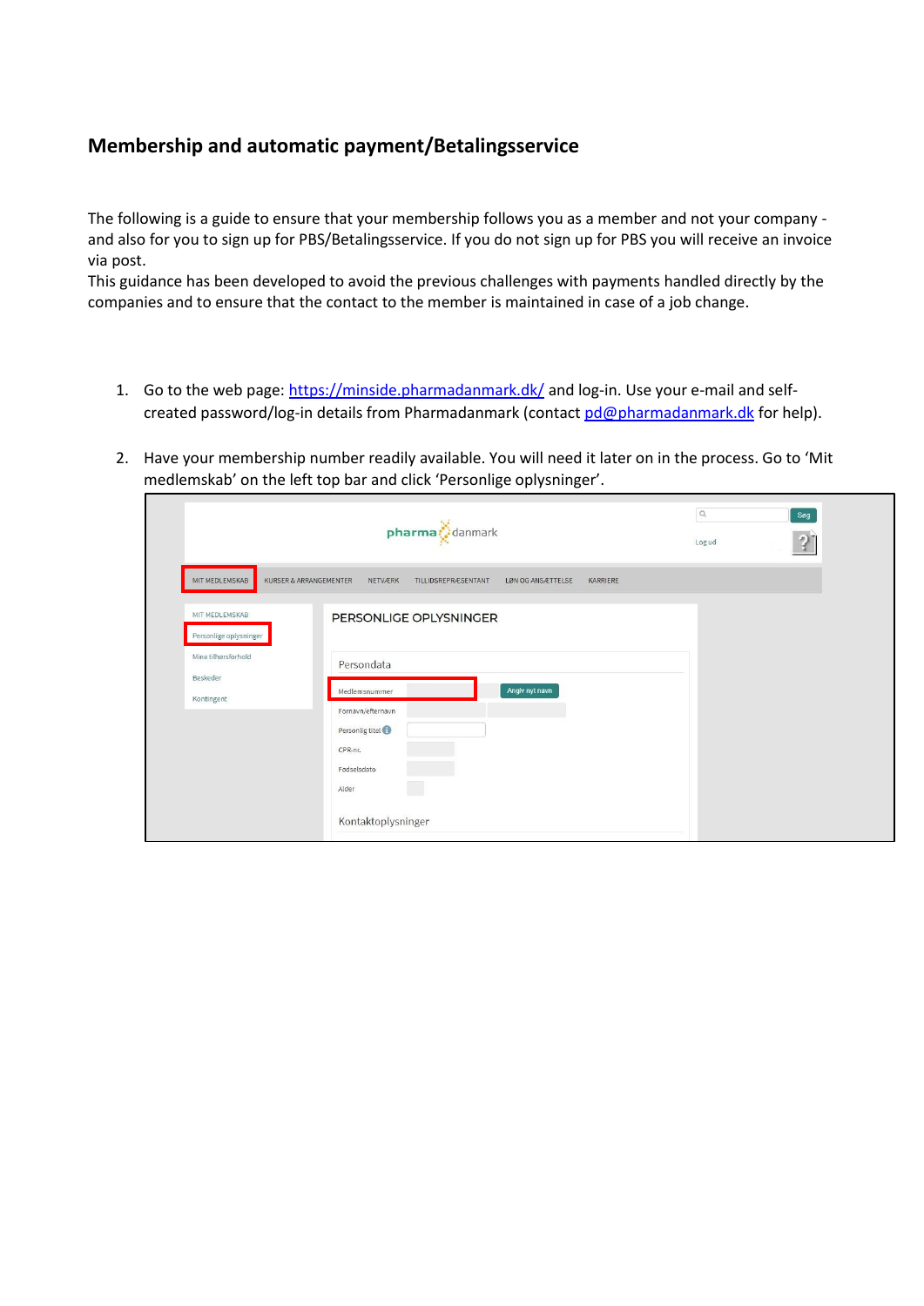## **Membership and automatic payment/Betalingsservice**

The following is a guide to ensure that your membership follows you as a member and not your company and also for you to sign up for PBS/Betalingsservice. If you do not sign up for PBS you will receive an invoice via post.

This guidance has been developed to avoid the previous challenges with payments handled directly by the companies and to ensure that the contact to the member is maintained in case of a job change.

- 1. Go to the web page:<https://minside.pharmadanmark.dk/> and log-in. Use your e-mail and selfcreated password/log-in details from Pharmadanmark (contac[t pd@pharmadanmark.dk](mailto:pd@pharmadanmark.dk) for help).
- 2. Have your membership number readily available. You will need it later on in the process. Go to 'Mit medlemskab' on the left top bar and click 'Personlige oplysninger'.

|                                          | $\hbox{\scriptsize\it Q}$<br>Søg<br>$pharma$ danmark<br>$\sqrt{2}$<br>Logud               |
|------------------------------------------|-------------------------------------------------------------------------------------------|
| MIT MEDLEMSKAB                           | KURSER & ARRANGEMENTER<br>NETVÆRK<br>TILLIDSREPRÆSENTANT<br>LØN OG ANSÆTTELSE<br>KARRIERE |
| MIT MEDLEMSKAB<br>Personlige oplysninger | PERSONLIGE OPLYSNINGER                                                                    |
| Mine tilhørsforhold                      | Persondata                                                                                |
| Beskeder<br>Kontingent                   | Angiv nyt navn<br>Medlemsnummer                                                           |
|                                          | Fornavn/efternavn                                                                         |
|                                          | Personlig titel                                                                           |
|                                          | CPR-nr.                                                                                   |
|                                          | Fødselsdato<br>Alder                                                                      |
|                                          | Kontaktoplysninger                                                                        |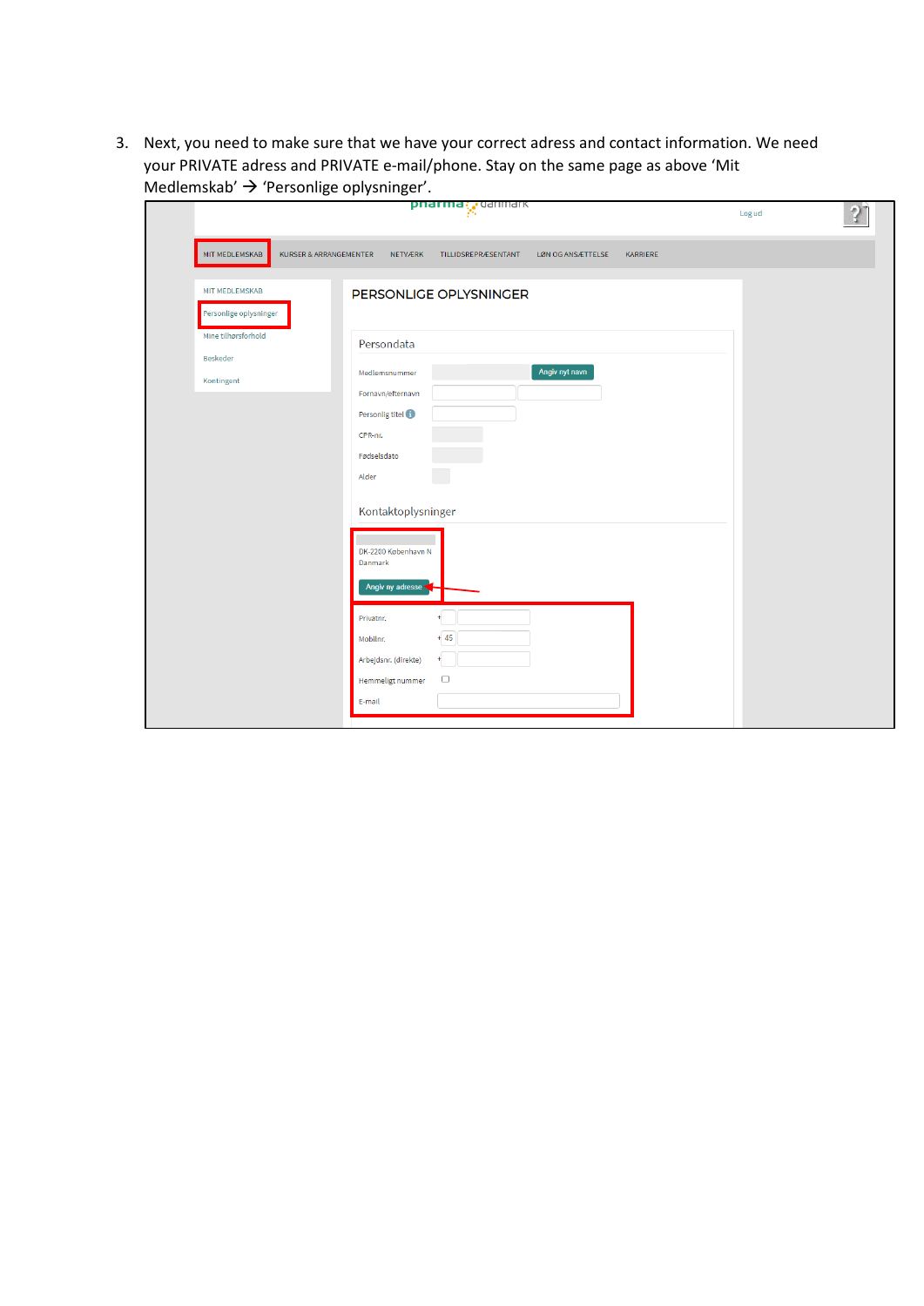3. Next, you need to make sure that we have your correct adress and contact information. We need your PRIVATE adress and PRIVATE e-mail/phone. Stay on the same page as above 'Mit Medlemskab'  $\rightarrow$  'Personlige oplysninger'.

|                                                      | <b>pnarma</b> <i>e</i> danmark                                                                                                                                                                                                                                                                                                     | $2^{\circ}$<br>Log ud |
|------------------------------------------------------|------------------------------------------------------------------------------------------------------------------------------------------------------------------------------------------------------------------------------------------------------------------------------------------------------------------------------------|-----------------------|
| MIT MEDLEMSKAB<br><b>KURSER &amp; ARRANGEMENTER</b>  | NETVÆRK<br>TILLIDSREPRÆSENTANT<br>LØN OG ANSÆTTELSE<br>KARRIERE                                                                                                                                                                                                                                                                    |                       |
| <b>MIT MEDLEMSKAB</b><br>Personlige oplysninger      | PERSONLIGE OPLYSNINGER                                                                                                                                                                                                                                                                                                             |                       |
| Mine tilhørsforhold<br><b>Beskeder</b><br>Kontingent | Persondata<br>Angiv nyt navn<br>Medlemsnummer<br>Fornavn/efternavn<br>Personlig titel<br>CPR-nr.<br>Fødselsdato<br>$\Box$<br>Alder<br>Kontaktoplysninger<br>DK-2200 København N<br>Danmark<br>Angiv ny adresse<br>÷<br>Privatnr.<br>$+45$<br>Mobilnr.<br>Arbejdsnr. (direkte)<br>$\ddot{}$<br>$\Box$<br>Hemmeligt nummer<br>E-mail |                       |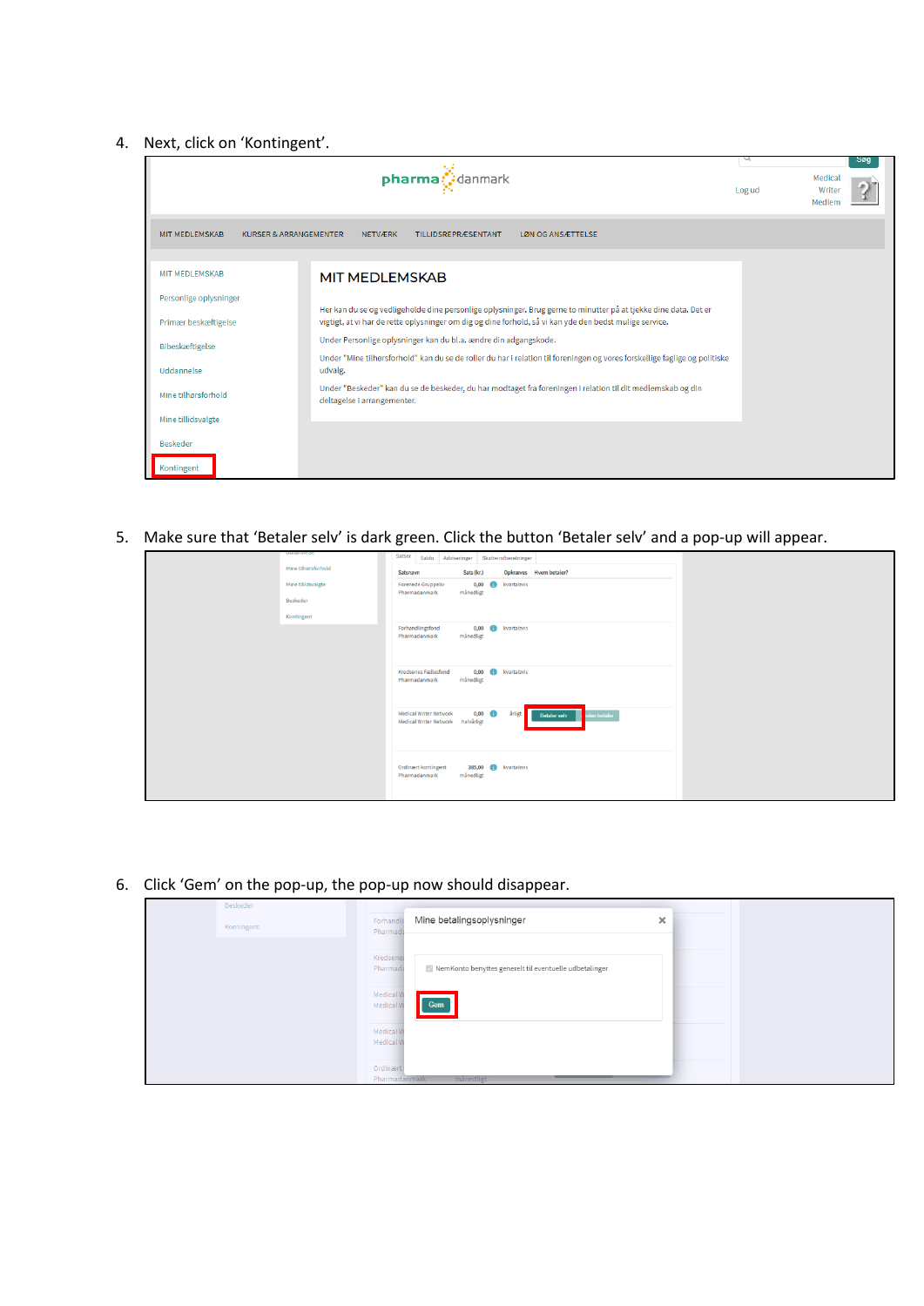## 4. Next, click on 'Kontingent'.

| pharma: danmark                                            |                                                                                                                                                                                                                             | Log ud | <b>200</b><br>Medical<br>Writer<br>Medlen |  |
|------------------------------------------------------------|-----------------------------------------------------------------------------------------------------------------------------------------------------------------------------------------------------------------------------|--------|-------------------------------------------|--|
| <b>MIT MEDLEMSKAB</b><br><b>KURSER &amp; ARRANGEMENTER</b> | <b>NETVÆRK</b><br><b>TILLIDSREPRÆSENTANT</b><br>LØN OG ANSÆTTELSE                                                                                                                                                           |        |                                           |  |
| <b>MIT MEDLEMSKAB</b>                                      | <b>MIT MEDLEMSKAB</b>                                                                                                                                                                                                       |        |                                           |  |
| Personlige oplysninger                                     |                                                                                                                                                                                                                             |        |                                           |  |
| Primær beskæftigelse                                       | Her kan du se og vedligeholde dine personlige oplysninger. Brug gerne to minutter på at tjekke dine data. Det er<br>vigtigt, at vi har de rette oplysninger om dig og dine forhold, så vi kan yde den bedst mulige service. |        |                                           |  |
| Bibeskæftigelse                                            | Under Personlige oplysninger kan du bl.a. ændre din adgangskode.                                                                                                                                                            |        |                                           |  |
| Uddannelse                                                 | Under "Mine tilhørsforhold" kan du se de roller du har i relation til foreningen og vores forskellige faglige og politiske<br>udvalg.                                                                                       |        |                                           |  |
| Mine tilhørsforhold                                        | Under "Beskeder" kan du se de beskeder, du har modtaget fra foreningen i relation til dit medlemskab og din<br>deltagelse i arrangementer.                                                                                  |        |                                           |  |
| Mine tillidsvalgte                                         |                                                                                                                                                                                                                             |        |                                           |  |
| <b>Beskeder</b>                                            |                                                                                                                                                                                                                             |        |                                           |  |
| Kontingent                                                 |                                                                                                                                                                                                                             |        |                                           |  |

5. Make sure that 'Betaler selv' is dark green. Click the button 'Betaler selv' and a pop-up will appear.

| ------------<br>Mine tilhørsforhold<br>Mine tillidsvalgte<br>Beskeder<br>Kontingent | Satser Saldo Adviseringer Skatteindberetninger<br>Sats (kr.)<br>Opkræves Hvem betaler?<br>Satsnavn<br>0,00 <b>b</b> kvartalsvis<br><b>Forenede Gruppeliv</b><br>månedligt<br>Pharmadanmark |
|-------------------------------------------------------------------------------------|--------------------------------------------------------------------------------------------------------------------------------------------------------------------------------------------|
|                                                                                     | 0,00 <b>C</b> kvartalsvis<br>Forhandlingsfond<br>månedligt<br>Pharmadanmark<br>0,00 <b>C</b> kvartalsvis<br>Kredsenes Fællesfond                                                           |
|                                                                                     | månedligt<br>Pharmadanmark<br>$0,00$ $\bullet$<br>årligt <b>Betaler selv</b><br><b>Medical Writer Network</b><br>iden betaler<br>Medical Writer Network halvårligt                         |
|                                                                                     | 385,00 <b>b</b> kvartalsvis<br>Ordinært kontingent                                                                                                                                         |
|                                                                                     | månedligt<br>Pharmadanmark                                                                                                                                                                 |

6. Click 'Gem' on the pop-up, the pop-up now should disappear.

| Beskeder   |                            |                                                        |          |  |
|------------|----------------------------|--------------------------------------------------------|----------|--|
| Kontingent | Forhandli<br>Pharmada      | Mine betalingsoplysninger                              | $\times$ |  |
|            | Kredsenes<br>Pharmada      |                                                        |          |  |
|            | Medical W                  | NemKonto benyttes generelt til eventuelle udbetalinger |          |  |
|            | Medical W                  | Gem                                                    |          |  |
|            | Medical W<br>Medical W     |                                                        |          |  |
|            | Ordinaert<br>Pharmadanmark | månedligt                                              |          |  |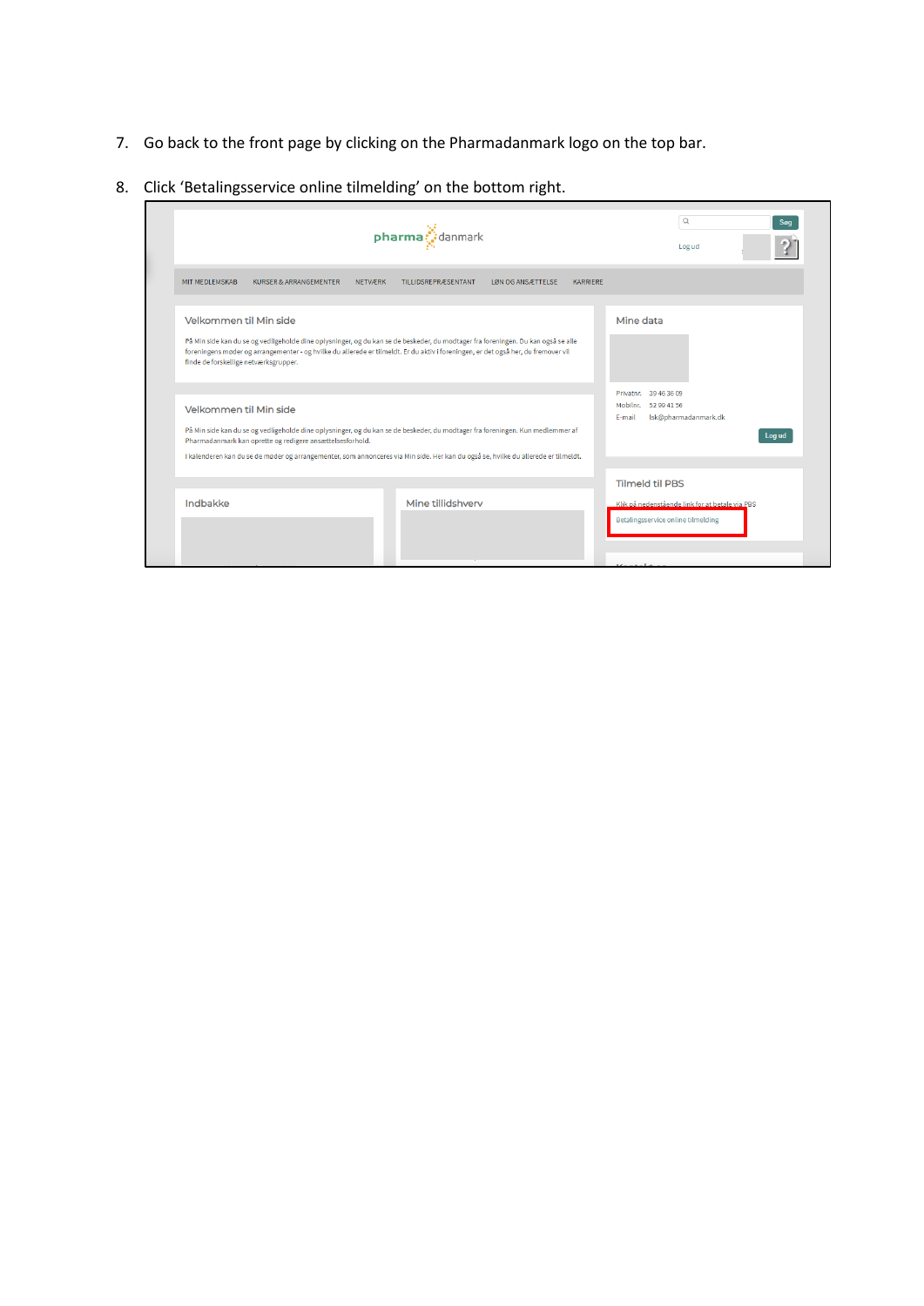- 7. Go back to the front page by clicking on the Pharmadanmark logo on the top bar.
- 8. Click 'Betalingsservice online tilmelding' on the bottom right.

| $pharma$ danmark                                                                                                                                                                                                                                                                                                                                            | Q<br>Søg<br>Log ud                                                 |                                                                                           |
|-------------------------------------------------------------------------------------------------------------------------------------------------------------------------------------------------------------------------------------------------------------------------------------------------------------------------------------------------------------|--------------------------------------------------------------------|-------------------------------------------------------------------------------------------|
| MIT MEDLEMSKAB<br><b>KURSER &amp; ARRANGEMENTER</b><br><b>NETVÆRK</b>                                                                                                                                                                                                                                                                                       | <b>TILLIDSREPRÆSENTANT</b><br>LØN OG ANSÆTTELSE<br><b>KARRIERE</b> |                                                                                           |
| Velkommen til Min side<br>På Min side kan du se og vedligeholde dine oplysninger, og du kan se de beskeder, du modtager fra foreningen. Du kan også se alle<br>foreningens møder og arrangementer - og hvilke du allerede er tilmeldt. Er du aktiv i foreningen, er det også her, du fremover vil<br>finde de forskellige netværksgrupper.                  |                                                                    | Mine data                                                                                 |
| Velkommen til Min side<br>På Min side kan du se og vedligeholde dine oplysninger, og du kan se de beskeder, du modtager fra foreningen. Kun medlemmer af<br>Pharmadanmark kan oprette og redigere ansættelsesforhold.<br>I kalenderen kan du se de møder og arrangementer, som annonceres via Min side. Her kan du også se, hvilke du allerede er tilmeldt. |                                                                    | Privatnr. 39 46 36 09<br>Mobilnr. 52 99 41 56<br>Isk@pharmadanmark.dk<br>E-mail<br>Log ud |
| Indbakke                                                                                                                                                                                                                                                                                                                                                    | Mine tillidshverv                                                  | <b>Tilmeld til PBS</b>                                                                    |
|                                                                                                                                                                                                                                                                                                                                                             |                                                                    | Klik på nedenstående link for at betale via PBS<br>Betalingsservice online tilmelding     |